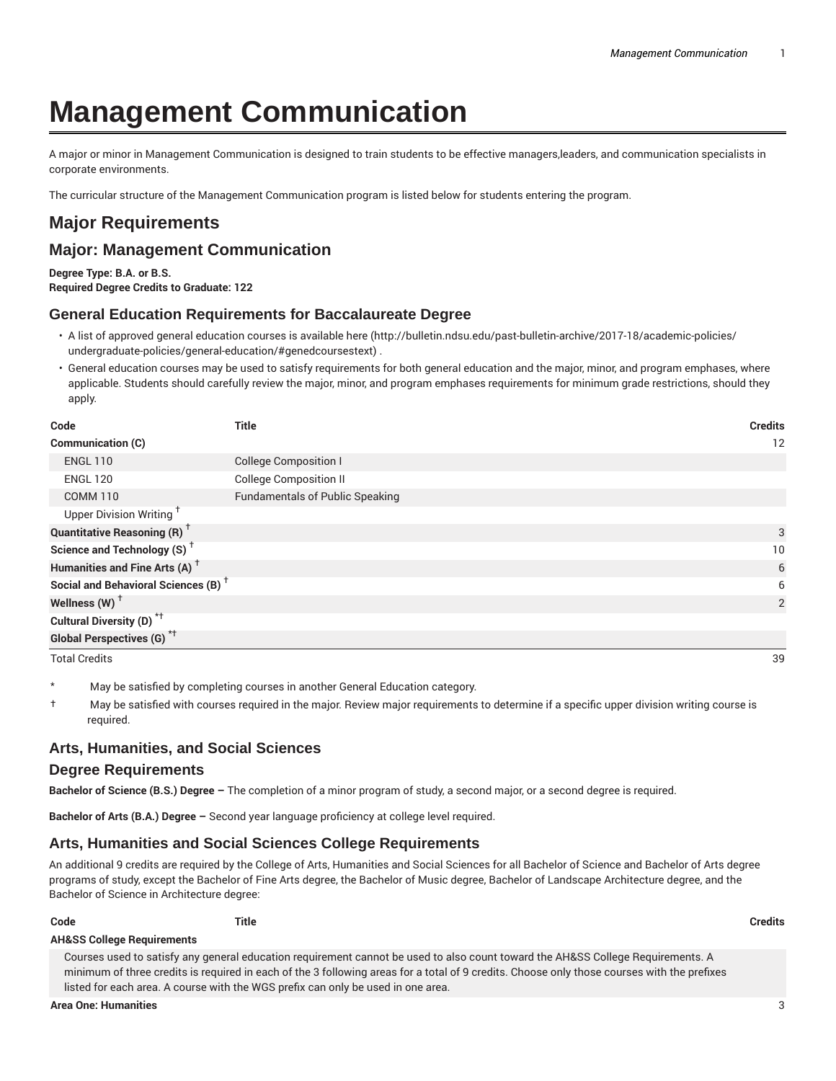# **Management Communication**

A major or minor in Management Communication is designed to train students to be effective managers,leaders, and communication specialists in corporate environments.

The curricular structure of the Management Communication program is listed below for students entering the program.

## **Major Requirements**

### **Major: Management Communication**

**Degree Type: B.A. or B.S.**

**Required Degree Credits to Graduate: 122**

#### **General Education Requirements for Baccalaureate Degree**

- A list of approved general education courses is available here (http://bulletin.ndsu.edu/past-bulletin-archive/2017-18/academic-policies/ undergraduate-policies/general-education/#genedcoursestext) .
- General education courses may be used to satisfy requirements for both general education and the major, minor, and program emphases, where applicable. Students should carefully review the major, minor, and program emphases requirements for minimum grade restrictions, should they apply.

| Code                                            | <b>Title</b>                           | <b>Credits</b> |
|-------------------------------------------------|----------------------------------------|----------------|
| Communication (C)                               |                                        | 12             |
| <b>ENGL 110</b>                                 | <b>College Composition I</b>           |                |
| <b>ENGL 120</b>                                 | <b>College Composition II</b>          |                |
| <b>COMM 110</b>                                 | <b>Fundamentals of Public Speaking</b> |                |
| Upper Division Writing <sup>T</sup>             |                                        |                |
| <b>Quantitative Reasoning (R)</b> <sup>+</sup>  |                                        | 3              |
| Science and Technology (S) <sup>+</sup>         |                                        | 10             |
| Humanities and Fine Arts (A) <sup>+</sup>       |                                        | 6              |
| Social and Behavioral Sciences (B) <sup>+</sup> |                                        | 6              |
| Wellness (W) $^{\dagger}$                       |                                        | 2              |
| Cultural Diversity (D) <sup>*†</sup>            |                                        |                |
| <b>Global Perspectives (G)</b> <sup>*†</sup>    |                                        |                |
| <b>Total Credits</b>                            |                                        | 39             |

- May be satisfied by completing courses in another General Education category.
- † May be satisfied with courses required in the major. Review major requirements to determine if a specific upper division writing course is required.

### **Arts, Humanities, and Social Sciences**

#### **Degree Requirements**

**Bachelor of Science (B.S.) Degree –** The completion of a minor program of study, a second major, or a second degree is required.

**Bachelor of Arts (B.A.) Degree –** Second year language proficiency at college level required.

### **Arts, Humanities and Social Sciences College Requirements**

An additional 9 credits are required by the College of Arts, Humanities and Social Sciences for all Bachelor of Science and Bachelor of Arts degree programs of study, except the Bachelor of Fine Arts degree, the Bachelor of Music degree, Bachelor of Landscape Architecture degree, and the Bachelor of Science in Architecture degree:

**Code Title Credits**

#### **AH&SS College Requirements**

Courses used to satisfy any general education requirement cannot be used to also count toward the AH&SS College Requirements. A minimum of three credits is required in each of the 3 following areas for a total of 9 credits. Choose only those courses with the prefixes listed for each area. A course with the WGS prefix can only be used in one area.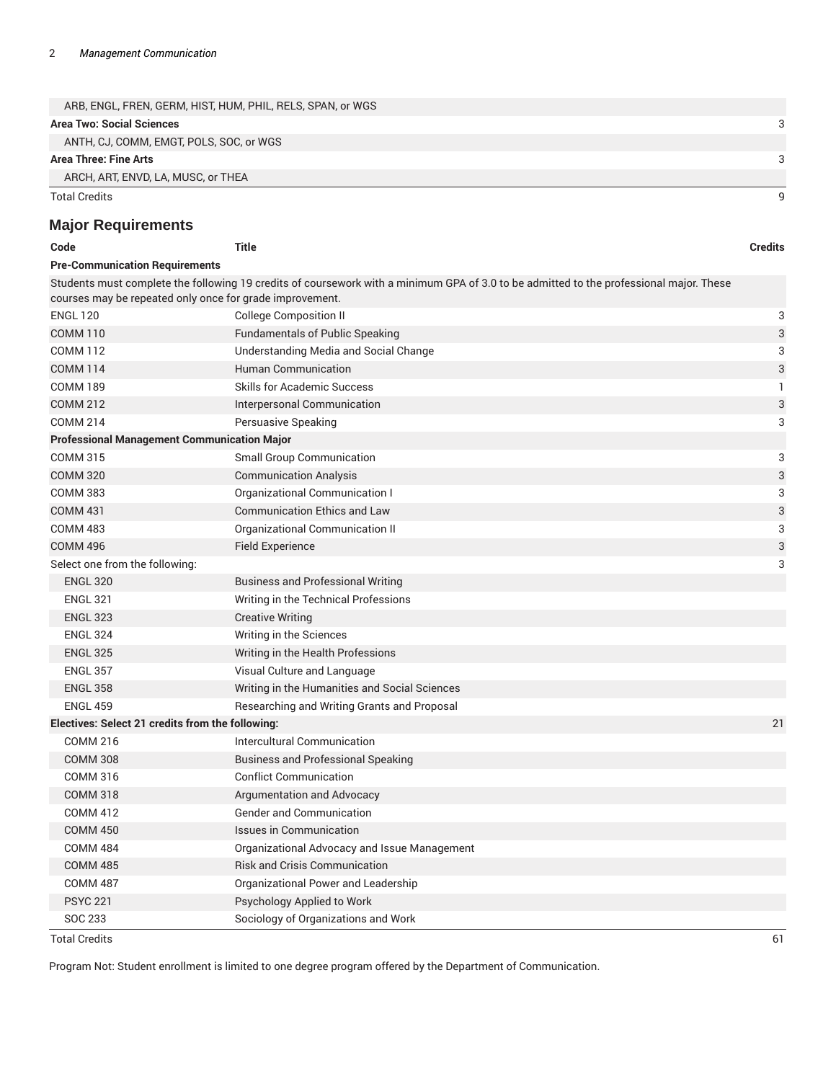| ARB, ENGL, FREN, GERM, HIST, HUM, PHIL, RELS, SPAN, or WGS |  |
|------------------------------------------------------------|--|
| <b>Area Two: Social Sciences</b>                           |  |
| ANTH, CJ, COMM, EMGT, POLS, SOC, or WGS                    |  |
| Area Three: Fine Arts                                      |  |
| ARCH, ART, ENVD, LA, MUSC, or THEA                         |  |
| Total Credits                                              |  |

### **Major Requirements**

| Code                                                     | <b>Title</b>                                                                                                                            | <b>Credits</b> |
|----------------------------------------------------------|-----------------------------------------------------------------------------------------------------------------------------------------|----------------|
| <b>Pre-Communication Requirements</b>                    |                                                                                                                                         |                |
|                                                          | Students must complete the following 19 credits of coursework with a minimum GPA of 3.0 to be admitted to the professional major. These |                |
| courses may be repeated only once for grade improvement. |                                                                                                                                         |                |
| <b>ENGL 120</b>                                          | <b>College Composition II</b>                                                                                                           | 3              |
| <b>COMM 110</b>                                          | <b>Fundamentals of Public Speaking</b>                                                                                                  | 3              |
| <b>COMM 112</b>                                          | Understanding Media and Social Change                                                                                                   | 3              |
| <b>COMM 114</b>                                          | Human Communication                                                                                                                     | 3              |
| <b>COMM 189</b>                                          | <b>Skills for Academic Success</b>                                                                                                      | 1              |
| <b>COMM 212</b>                                          | Interpersonal Communication                                                                                                             | 3              |
| <b>COMM 214</b>                                          | Persuasive Speaking                                                                                                                     | 3              |
| <b>Professional Management Communication Major</b>       |                                                                                                                                         |                |
| <b>COMM 315</b>                                          | <b>Small Group Communication</b>                                                                                                        | 3              |
| <b>COMM 320</b>                                          | <b>Communication Analysis</b>                                                                                                           | 3              |
| <b>COMM 383</b>                                          | Organizational Communication I                                                                                                          | 3              |
| <b>COMM 431</b>                                          | <b>Communication Ethics and Law</b>                                                                                                     | 3              |
| <b>COMM 483</b>                                          | Organizational Communication II                                                                                                         | 3              |
| <b>COMM 496</b>                                          | <b>Field Experience</b>                                                                                                                 | 3              |
| Select one from the following:                           |                                                                                                                                         | 3              |
| <b>ENGL 320</b>                                          | <b>Business and Professional Writing</b>                                                                                                |                |
| <b>ENGL 321</b>                                          | Writing in the Technical Professions                                                                                                    |                |
| <b>ENGL 323</b>                                          | <b>Creative Writing</b>                                                                                                                 |                |
| <b>ENGL 324</b>                                          | Writing in the Sciences                                                                                                                 |                |
| <b>ENGL 325</b>                                          | Writing in the Health Professions                                                                                                       |                |
| <b>ENGL 357</b>                                          | Visual Culture and Language                                                                                                             |                |
| <b>ENGL 358</b>                                          | Writing in the Humanities and Social Sciences                                                                                           |                |
| <b>ENGL 459</b>                                          | Researching and Writing Grants and Proposal                                                                                             |                |
| Electives: Select 21 credits from the following:         |                                                                                                                                         | 21             |
| <b>COMM 216</b>                                          | <b>Intercultural Communication</b>                                                                                                      |                |
| <b>COMM 308</b>                                          | <b>Business and Professional Speaking</b>                                                                                               |                |
| COMM 316                                                 | <b>Conflict Communication</b>                                                                                                           |                |
| <b>COMM 318</b>                                          | Argumentation and Advocacy                                                                                                              |                |
| <b>COMM 412</b>                                          | <b>Gender and Communication</b>                                                                                                         |                |
| <b>COMM 450</b>                                          | Issues in Communication                                                                                                                 |                |
| <b>COMM 484</b>                                          | Organizational Advocacy and Issue Management                                                                                            |                |
| <b>COMM 485</b>                                          | <b>Risk and Crisis Communication</b>                                                                                                    |                |
| <b>COMM 487</b>                                          | Organizational Power and Leadership                                                                                                     |                |
| <b>PSYC 221</b>                                          | Psychology Applied to Work                                                                                                              |                |
| SOC 233                                                  | Sociology of Organizations and Work                                                                                                     |                |

Total Credits 61

Program Not: Student enrollment is limited to one degree program offered by the Department of Communication.